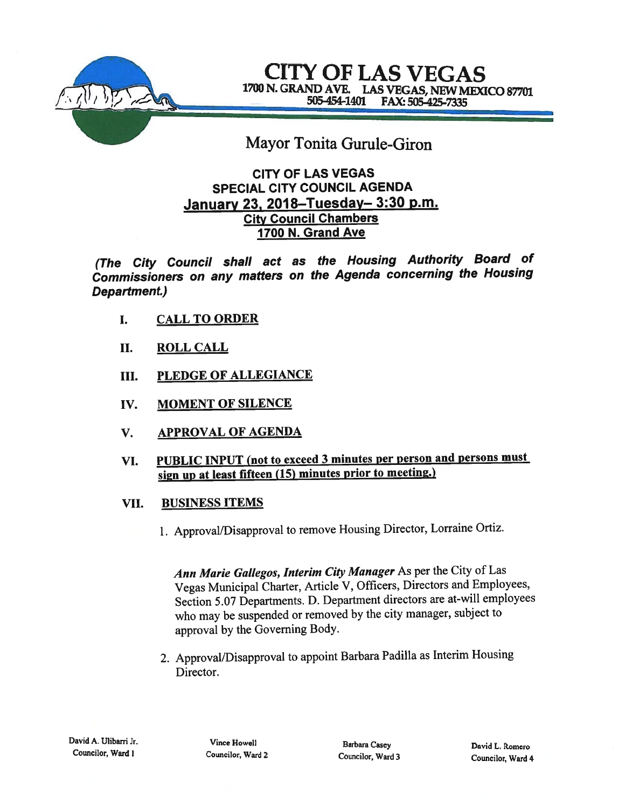

CITY OF LAS VEGAS 1700 N. GRAND AVE. LAS VEGAS, NEW MEXICO 87701 505-454-1401 FAX: 505-425-7335

# Mayor Tonita Gurule-Giron

### CITY OF LAS VEGAS SPECIAL CITY COUNCIL AGENDA January 23, 2018—Tuesday— 3:30 p.m. City Council Chambers 1700 N. Grand Ave

(The City Council shall act as the Housing Authority Board of Commissioners on any matters on the Agenda concerning the Housing Department.)

- I. CALL TO ORDER
- II. ROLL CALL
- III. PLEDGE OF ALLEGIANCE
- IV. MOMENT OF SILENCE
- V. APPROVAL OF AGENDA
- VI. PUBLIC INPUT (not to exceed 3 minutes per person and persons must sign up at least fifteen (15) minutes prior to meeting.)
- VII. BUSINESS ITEMS
	- 1. Approval/Disapproval to remove Housing Director, Lorraine Ortiz.

Ann Marie Gallegos, Interim City Manager As per the City of Las Vegas Municipal Charter, Article V, Officers, Directors and Employees, Section 5.07 Departments. D. Department directors are at-will employees who may be suspended or removed by the city manager, subject to approva<sup>l</sup> by the Governing Body.

2. Approval/Disapproval to appoint Barbara Padilla as Interim Housing Director.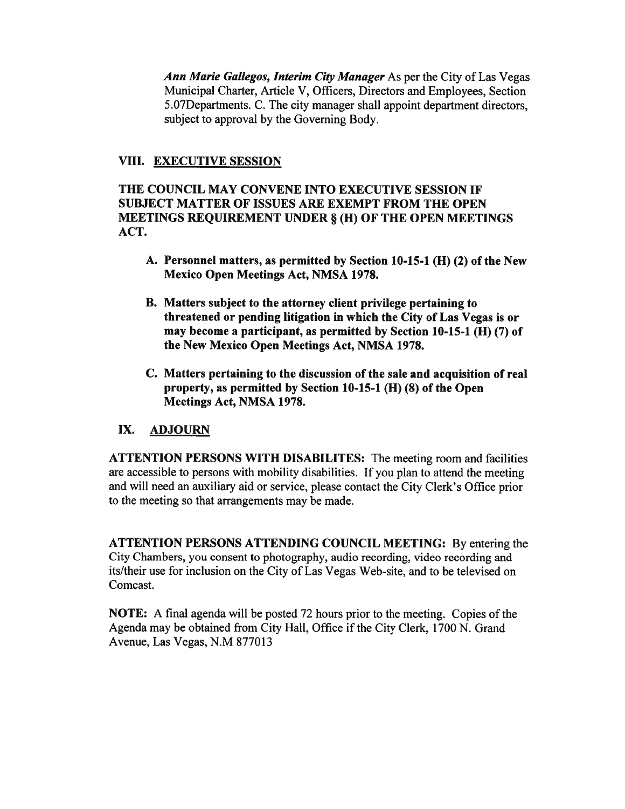Ann Marie Gallegos, Interim City Manager As per the City of Las Vegas Municipal Charter, Article V, Officers, Directors and Employees, Section 5.O7Departments. C. The city manager shall appoint department directors, subject to approval by the Governing Body.

### VIII. EXECUTIVE SESSION

THE COUNCIL MAY CONVENE INTO EXECUTIVE SESSION IF SUBJECT MATTER OF ISSUES ARE EXEMPT FROM THE OPEN MEETINGS REQUIREMENT UNDER § (H) OF THE OPEN MEETINGS ACT.

- A. Personnel matters, as permitted by Section 10-15-1 (H) (2) of the New Mexico Open Meetings Act, NMSA 1978.
- B. Matters subject to the attorney client privilege pertaining to threatened or pending litigation in which the City of Las Vegas is or may become <sup>a</sup> participant, as permitted by Section 10-15-1 (H) (7) of the New Mexico Open Meetings Act, NMSA 1978.
- C. Matters pertaining to the discussion of the sale and acquisition of real property, as permitted by Section 10-15-1 (H) (8) of the Open Meetings Act, NMSA 1978.

### IX. ADJOURN

ATTENTION PERSONS WITH DISABILITES: The meeting room and facilities are accessible to persons with mobility disabilities. If you plan to attend the meeting and will need an auxiliary aid or service, <sup>p</sup>lease contact the City Clerk's Office prior to the meeting so that arrangements may be made.

ATTENTION PERSONS ATTENDING COUNCIL MEETING: By entering the City Chambers, you consent to photography, audio recording, video recording and its/their use for inclusion on the City of Las Vegas Web-site, and to be televised on Comcast.

NOTE: A final agenda will be posted 72 hours prior to the meeting. Copies of the Agenda may be obtained from City Hall, Office if the City Clerk, 1700 N. Grand Avenue, Las Vegas, N.M 877013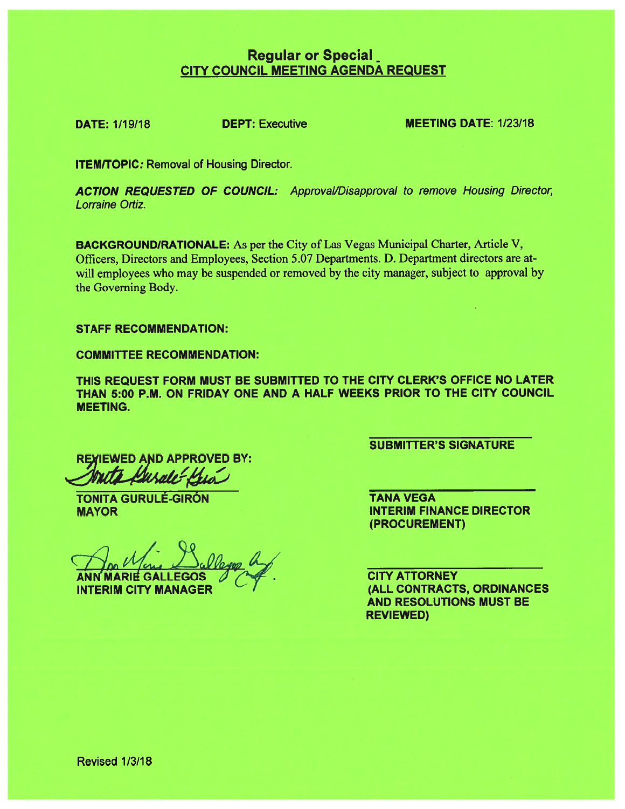# **Regular or Special** CITY COUNCIL MEETING AGENDA REQUEST

DATE: 1/19/18 **DEPT:** Executive **MEETING DATE: 1/23/18** 

**ITEM/TOPIC: Removal of Housing Director.** 

ACTION REQUESTED OF COUNCIL: Approval/Disapproval to remove Housing Director, Lorraine Ortiz.

BACKGROUNDIRATIONALE: As per the City of Las Vegas Municipal Charter, Article V, Officers, Directors and Employees, Section 5.07 Departments. D. Department directors are atwill employees who may be suspended or removed by the city manager, subject to approval by the Governing Body.

#### STAFF RECOMMENDATION:

COMMITTEE RECOMMENDATION:

THIS REQUEST FORM MUST BE SUBMITTED TO THE CITY CLERK'S OFFICE NO LATER THAN 5:00 P.M. ON FRIDAY ONE AND A HALF WEEKS PRIOR TO THE CITY COUNCIL MEETING.

REXIEWED AND APPROVED BY:

TONITA GURULÉ-GIRÓN **TANA VEGA** 

MARIE GALLEGOS  $\sqrt{A}$ . CITY ATTORNEY INTERIM CITY MANAGER **EXAMPLE 2018 THE CONTRACTS, ORDINANCES** 

SUBMITTER'S SIGNATURE

**MAYOR INTERIM FINANCE DIRECTOR** (PROCUREMENT)

> AND RESOLUTIONS MUST BE REVIEWED)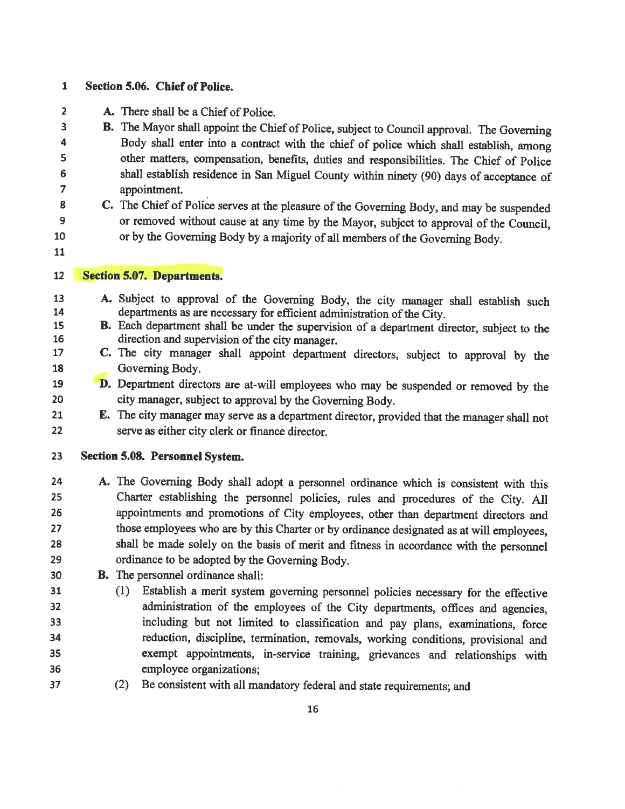#### 1 Section 5.06. Chief of Police.

2 A. There shall be <sup>a</sup> Chief of Police.

 **B.** The Mayor shall appoint the Chief of Police, subject to Council approval. The Governing Body shall enter into a contract with the chief of police which shall establish emerge. 4 Body shall enter into a contract with the chief of police which shall establish, among<br>5 other matters, compensation, benefits, duties and responsibilities. The Chief of Police <sup>5</sup> other matters, compensation, benefits, duties and responsibilities. The Chief of Police 6 shall establish residence in San Miguel County within ninety (90) days of acceptance of approximate approximate of appointment.

or by the Governing Body by a majority of all members of the Governing Body.

- 8 C. The Chief of Police serves at the pleasure of the Governing Body, and may be suspended<br>9 or removed without cause at any time by the Mayor subject to annoyel of the Council 9 or removed without cause at any time by the Mayor, subject to approval of the Council,<br>10 or by the Governing Body by a majority of all members of the Governing Body.
- 
- 

#### Section 5.07. Departments.

- 13 A. Subject to approval of the Governing Body, the city manager shall establish such departments as are necessary for efficient administration of the City. 14 departments as are necessary for efficient administration of the City.<br>15 **B.** Each department shall be under the supervision of a department di
- 15 B. Each department shall be under the supervision of a department director, subject to the direction and supervision of the city manager direction and supervision of the city manager.
- C. The city manager shall appoint department directors, subject to approval by the Governing Body.
- **D.** Department directors are at-will employees who may be suspended or removed by the city manager, subject to approval by the Governing Body city manager, subject to approval by the Governing Body.
- E. The city manager may serve as <sup>a</sup> department director, provided that the manager shall not serve as either city clerk or finance director.
- Section 5.08. Personnel System.
- A. The Governing Body shall adopt <sup>a</sup> personnel ordinance which is consistent with this Charter establishing the personnel policies, rules and procedures of the City. All appointments and promotions of City employees, other than department directors and those employees who are by this Charter or by ordinance designated as at will employees, shall be made solely on the basis of merit and fitness in accordance with the personnel ordinance to be adopted by the Governing Body.
- B. The personnel ordinance shall:
- (1) Establish <sup>a</sup> merit system governing personnel policies necessary for the effective administration of the employees of the City departments, offices and agencies, including but not limited to classification and pay <sup>p</sup>lans, examinations, force reduction, discipline, termination, removals, working conditions, provisional and exempt appointments, in-service training, grievances and relationships with employee organizations;
- (2) Be consistent with all mandatory federal and state requirements; and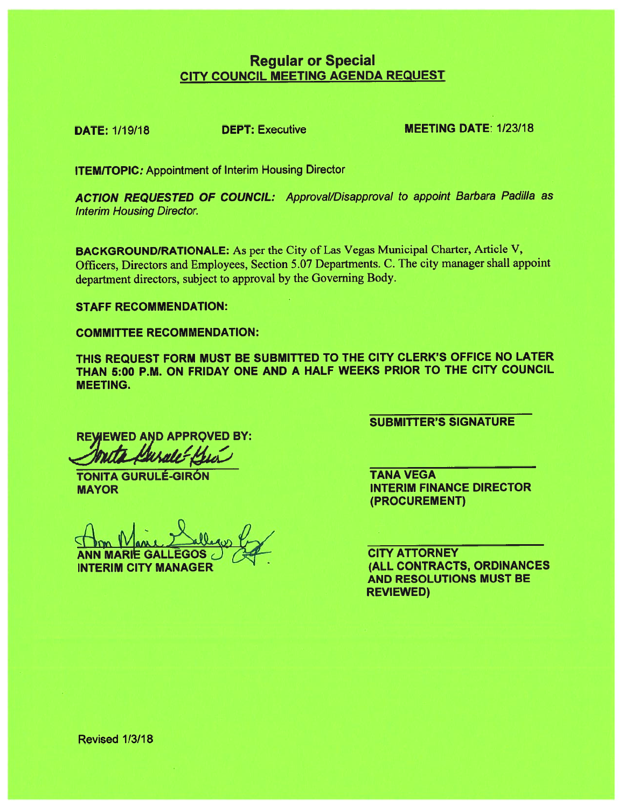# Regular or Special CITY COUNCIL MEETING AGENDA REQUEST

DATE: 1/19/18 DEPT: Executive MEETING DATE: 1/23/18

**ITEM/TOPIC:** Appointment of Interim Housing Director

ACTION REQUESTED OF COUNCIL: Approval/Disapproval to appoint Barbara Padilla as Interim Housing Director.

BACKGROUNDIRATIONALE: As per the City of Las Vegas Municipal Charter, Article V, Officers, Directors and Employees, Section 5.07 Departments. C. The city manager shall appoint department directors, subject to approva<sup>l</sup> by the Governing Body.

STAFF RECOMMENDATION:

COMMITTEE RECOMMENDATION:

THIS REQUEST FORM MUST BE SUBMITTED TO THE CITY CLERK'S OFFICE NO LATER THAN 5:00 P.M. ON FRIDAY ONE AND A HALF WEEKS PRIOR TO THE CITY COUNCIL MEETING.

**REWEWED AND APPROVED BY:** 

TONITA GURULÉ-GIRÓN TANA VEGA

ANN MARIE GALLEGOS JACKSON CITY ATTORNEY INTERIM CITY MANAGER **EXAMPLE 2018 (ALL CONTRACTS, ORDINANCES** 

SUBMITTER'S SIGNATURE

MAYOR **INTERIM FINANCE DIRECTOR** (PROCUREMENT)

> AND RESOLUTIONS MUST BE REVIEWED)

Revised 1/3/18